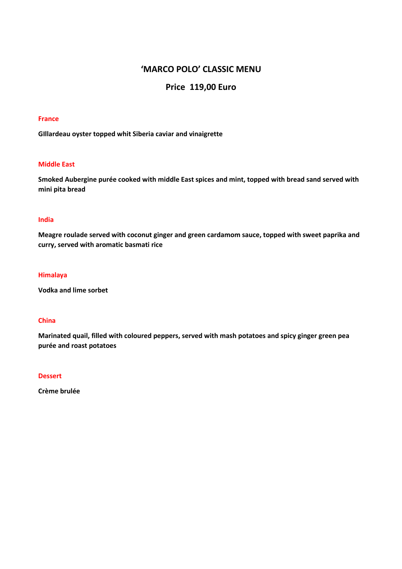# **'MARCO POLO' CLASSIC MENU**

# **Price 119,00 Euro**

#### **France**

**GIllardeau oyster topped whit Siberia caviar and vinaigrette**

### **Middle East**

**Smoked Aubergine purée cooked with middle East spices and mint, topped with bread sand served with mini pita bread**

## **India**

**Meagre roulade served with coconut ginger and green cardamom sauce, topped with sweet paprika and curry, served with aromatic basmati rice** 

#### **Himalaya**

**Vodka and lime sorbet** 

#### **China**

**Marinated quail, filled with coloured peppers, served with mash potatoes and spicy ginger green pea purée and roast potatoes** 

### **Dessert**

**Crème brulée**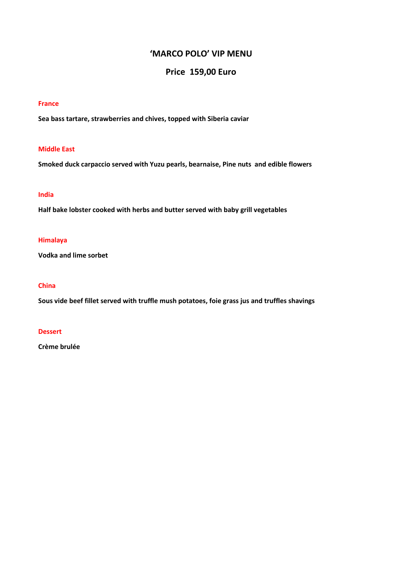# **'MARCO POLO' VIP MENU**

# **Price 159,00 Euro**

#### **France**

**Sea bass tartare, strawberries and chives, topped with Siberia caviar** 

### **Middle East**

**Smoked duck carpaccio served with Yuzu pearls, bearnaise, Pine nuts and edible flowers** 

## **India**

**Half bake lobster cooked with herbs and butter served with baby grill vegetables** 

## **Himalaya**

**Vodka and lime sorbet** 

## **China**

**Sous vide beef fillet served with truffle mush potatoes, foie grass jus and truffles shavings** 

#### **Dessert**

**Crème brulée**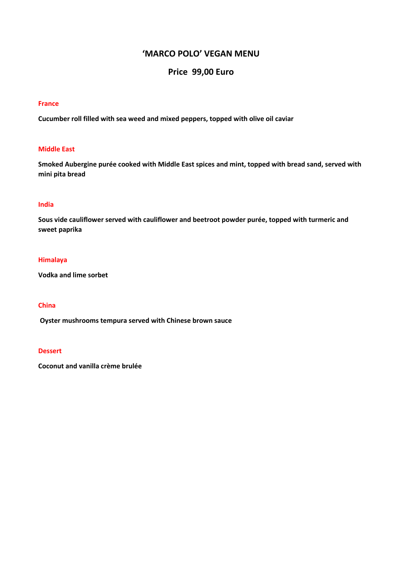# **'MARCO POLO' VEGAN MENU**

# **Price 99,00 Euro**

### **France**

**Cucumber roll filled with sea weed and mixed peppers, topped with olive oil caviar** 

### **Middle East**

**Smoked Aubergine purée cooked with Middle East spices and mint, topped with bread sand, served with mini pita bread**

## **India**

**Sous vide cauliflower served with cauliflower and beetroot powder purée, topped with turmeric and sweet paprika**

#### **Himalaya**

**Vodka and lime sorbet** 

### **China**

 **Oyster mushrooms tempura served with Chinese brown sauce**

### **Dessert**

**Coconut and vanilla crème brulée**